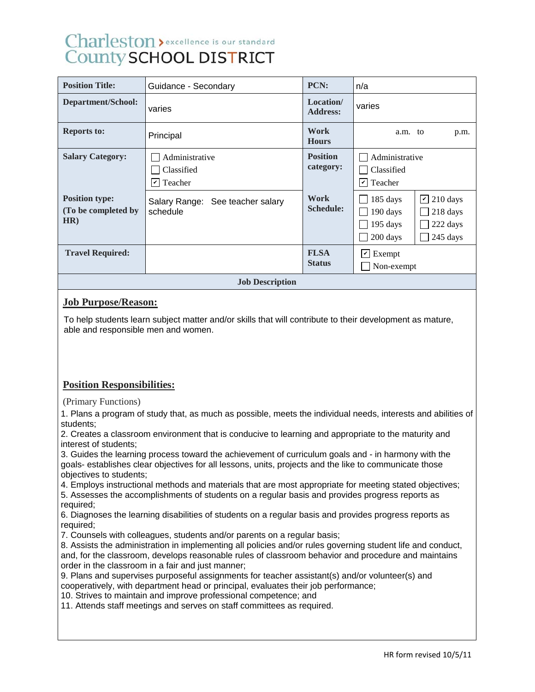# Charleston > excellence is our standard **County SCHOOL DISTRICT**

| <b>Position Title:</b>                              | Guidance - Secondary                                                   | PCN:                         | n/a                                                                                                           |  |  |
|-----------------------------------------------------|------------------------------------------------------------------------|------------------------------|---------------------------------------------------------------------------------------------------------------|--|--|
| Department/School:                                  | varies                                                                 | Location/<br><b>Address:</b> | varies                                                                                                        |  |  |
| <b>Reports to:</b>                                  | Principal                                                              | Work<br><b>Hours</b>         | a.m. to<br>p.m.                                                                                               |  |  |
| <b>Salary Category:</b>                             | Administrative<br>Classified<br>Teacher<br>$\vert\bm{\mathsf{v}}\vert$ | <b>Position</b><br>category: | Administrative<br>Classified<br>$ v $ Teacher                                                                 |  |  |
| <b>Position type:</b><br>(To be completed by<br>HR) | Salary Range: See teacher salary<br>schedule                           | Work<br><b>Schedule:</b>     | $\triangleright$ 210 days<br>185 days<br>190 days<br>218 days<br>195 days<br>222 days<br>200 days<br>245 days |  |  |
| <b>Travel Required:</b>                             |                                                                        | <b>FLSA</b><br><b>Status</b> | $\vert \mathbf{v} \vert$ Exempt<br>Non-exempt                                                                 |  |  |
| <b>Job Description</b>                              |                                                                        |                              |                                                                                                               |  |  |

#### **Job Purpose/Reason:**

To help students learn subject matter and/or skills that will contribute to their development as mature, able and responsible men and women.

## **Position Responsibilities:**

(Primary Functions)

1. Plans a program of study that, as much as possible, meets the individual needs, interests and abilities of students;

2. Creates a classroom environment that is conducive to learning and appropriate to the maturity and interest of students;

3. Guides the learning process toward the achievement of curriculum goals and - in harmony with the goals- establishes clear objectives for all lessons, units, projects and the like to communicate those objectives to students;

4. Employs instructional methods and materials that are most appropriate for meeting stated objectives;

5. Assesses the accomplishments of students on a regular basis and provides progress reports as required;

6. Diagnoses the learning disabilities of students on a regular basis and provides progress reports as required:

7. Counsels with colleagues, students and/or parents on a regular basis;

8. Assists the administration in implementing all policies and/or rules governing student life and conduct, and, for the classroom, develops reasonable rules of classroom behavior and procedure and maintains order in the classroom in a fair and just manner;

9. Plans and supervises purposeful assignments for teacher assistant(s) and/or volunteer(s) and cooperatively, with department head or principal, evaluates their job performance;

10. Strives to maintain and improve professional competence; and

11. Attends staff meetings and serves on staff committees as required.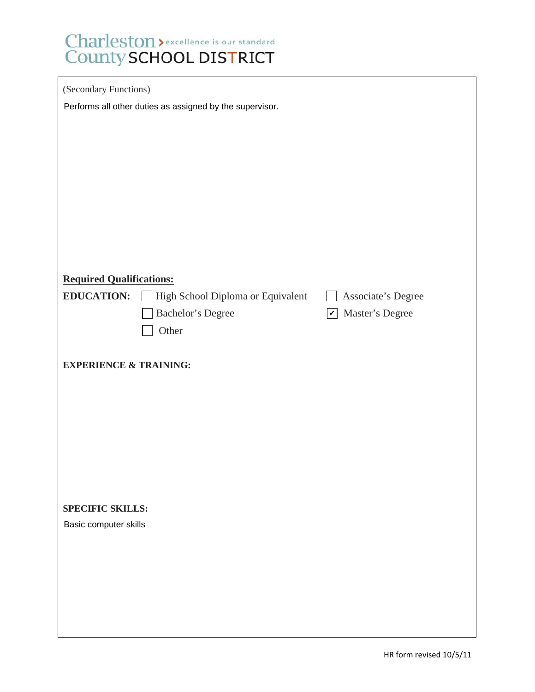# Charleston > excellence is our standard<br>County SCHOOL DISTRICT

| (Secondary Functions)                                    |                                   |                                                             |  |  |  |
|----------------------------------------------------------|-----------------------------------|-------------------------------------------------------------|--|--|--|
| Performs all other duties as assigned by the supervisor. |                                   |                                                             |  |  |  |
|                                                          |                                   |                                                             |  |  |  |
|                                                          |                                   |                                                             |  |  |  |
|                                                          |                                   |                                                             |  |  |  |
|                                                          |                                   |                                                             |  |  |  |
|                                                          |                                   |                                                             |  |  |  |
|                                                          |                                   |                                                             |  |  |  |
|                                                          |                                   |                                                             |  |  |  |
| <b>Required Qualifications:</b>                          |                                   |                                                             |  |  |  |
| <b>EDUCATION:</b>                                        | High School Diploma or Equivalent | Associate's Degree                                          |  |  |  |
|                                                          | Bachelor's Degree                 | Master's Degree<br>$\boldsymbol{ } \boldsymbol{\mathit{v}}$ |  |  |  |
|                                                          | Other                             |                                                             |  |  |  |
|                                                          |                                   |                                                             |  |  |  |
| <b>EXPERIENCE &amp; TRAINING:</b>                        |                                   |                                                             |  |  |  |
|                                                          |                                   |                                                             |  |  |  |
|                                                          |                                   |                                                             |  |  |  |
|                                                          |                                   |                                                             |  |  |  |
|                                                          |                                   |                                                             |  |  |  |
|                                                          |                                   |                                                             |  |  |  |
|                                                          |                                   |                                                             |  |  |  |
| <b>SPECIFIC SKILLS:</b><br>Basic computer skills         |                                   |                                                             |  |  |  |
|                                                          |                                   |                                                             |  |  |  |
|                                                          |                                   |                                                             |  |  |  |
|                                                          |                                   |                                                             |  |  |  |
|                                                          |                                   |                                                             |  |  |  |
|                                                          |                                   |                                                             |  |  |  |